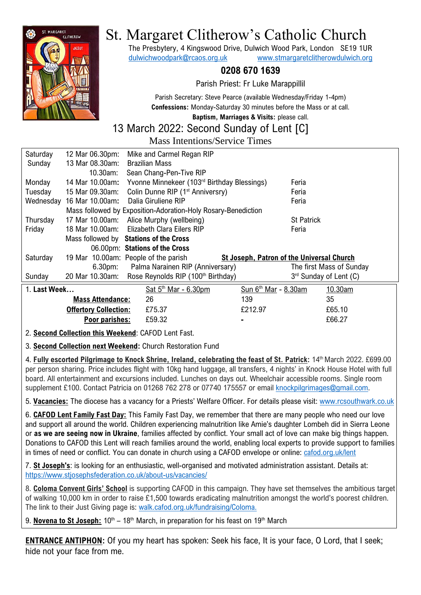

# St. Margaret Clitherow's Catholic Church

The Presbytery, 4 Kingswood Drive, Dulwich Wood Park, London SE19 1UR [dulwichwoodpark@rcaos.org.uk](mailto:dulwichwoodpark@rcaos.org.uk) [www.stmargaretclitherowdulwich.org](http://www.stmargaretclitherowdulwich.org/)

# **0208 670 1639**

Parish Priest: Fr Luke Marappillil

Parish Secretary: Steve Pearce (available Wednesday/Friday 1-4pm) **Confessions:** Monday-Saturday 30 minutes before the Mass or at call.

**Baptism, Marriages & Visits:** please call.

#### 13 March 2022: Second Sunday of Lent [C] Mass Intentions/Service Times

|           |                                | <u>Mass mitchtions bei Mee Thiles</u>                         |                   |  |
|-----------|--------------------------------|---------------------------------------------------------------|-------------------|--|
| Saturday  |                                | 12 Mar 06.30pm: Mike and Carmel Regan RIP                     |                   |  |
| Sunday    | 13 Mar 08.30am: Brazilian Mass |                                                               |                   |  |
|           | 10.30am:                       | Sean Chang-Pen-Tive RIP                                       |                   |  |
| Monday    |                                | 14 Mar 10.00am: Yvonne Minnekeer (103rd Birthday Blessings)   | Feria             |  |
| Tuesday   |                                | 15 Mar 09.30am: Colin Dunne RIP (1 <sup>st</sup> Anniversry)  | Feria             |  |
| Wednesday |                                | 16 Mar 10.00am: Dalia Giruliene RIP                           | Feria             |  |
|           |                                | Mass followed by Exposition-Adoration-Holy Rosary-Benediction |                   |  |
| Thursday  |                                | 17 Mar 10.00am: Alice Murphy (wellbeing)                      | <b>St Patrick</b> |  |
| Friday    |                                | 18 Mar 10.00am: Elizabeth Clara Eilers RIP                    | Feria             |  |
|           |                                | Mass followed by Stations of the Cross                        |                   |  |

|                                                    |                              | 06.00pm: Stations of the Cross                 |                                           |                          |  |  |  |  |
|----------------------------------------------------|------------------------------|------------------------------------------------|-------------------------------------------|--------------------------|--|--|--|--|
| Saturday                                           |                              | 19 Mar 10.00am: People of the parish           | St Joseph, Patron of the Universal Church |                          |  |  |  |  |
|                                                    | 6.30 <sub>pm</sub>           | Palma Narainen RIP (Anniversary)               |                                           | The first Mass of Sunday |  |  |  |  |
| Sunday                                             | 20 Mar 10.30am:              | Rose Reynolds RIP (100 <sup>th</sup> Birthday) |                                           | 3rd Sunday of Lent (C)   |  |  |  |  |
| 1. Last Week                                       |                              | Sat $5th$ Mar - 6.30pm                         | Sun $6th$ Mar - 8.30am                    | 10.30am                  |  |  |  |  |
|                                                    | <b>Mass Attendance:</b>      | 26                                             | 139                                       | 35                       |  |  |  |  |
|                                                    | <b>Offertory Collection:</b> | £75.37                                         | £212.97                                   | £65.10                   |  |  |  |  |
|                                                    | Poor parishes:               | £59.32                                         | ۰                                         | £66.27                   |  |  |  |  |
| 2. Cooped Collection this Weekend: CAEOD Lont Foot |                              |                                                |                                           |                          |  |  |  |  |

2. **Second Collection this Weekend**: CAFOD Lent Fast.

3. **Second Collection next Weekend:** Church Restoration Fund

4. **Fully escorted Pilgrimage to Knock Shrine, Ireland, celebrating the feast of St. Patrick:** 14th March 2022. £699.00 per person sharing. Price includes flight with 10kg hand luggage, all transfers, 4 nights' in Knock House Hotel with full board. All entertainment and excursions included. Lunches on days out. Wheelchair accessible rooms. Single room supplement £100. Contact Patricia on 01268 762 278 or 07740 175557 or email [knockpilgrimages@gmail.com.](mailto:knockpilgrimages@gmail.com)

5. **Vacancies:** The diocese has a vacancy for a Priests' Welfare Officer. For details please visit: [www.rcsouthwark.co.uk](https://www.rcsouthwark.co.uk/news-events/news/vacancy-priests-welfare-officer/)

6. **CAFOD Lent Family Fast Day:** This Family Fast Day, we remember that there are many people who need our love and support all around the world. Children experiencing malnutrition like Amie's daughter Lombeh did in Sierra Leone or **as we are seeing now in Ukraine**, families affected by conflict. Your small act of love can make big things happen. Donations to CAFOD this Lent will reach families around the world, enabling local experts to provide support to families in times of need or conflict. You can donate in church using a CAFOD envelope or online: [cafod.org.uk/lent](https://cafod.org.uk/Give/Donate-to-CAFOD/Lent-Appeal)

7. **St Joseph's**: is looking for an enthusiastic, well-organised and motivated administration assistant. Details at: <https://www.stjosephsfederation.co.uk/about-us/vacancies/>

8. **Coloma Convent Girls' School** is supporting CAFOD in this campaign. They have set themselves the ambitious target of walking 10,000 km in order to raise £1,500 towards eradicating malnutrition amongst the world's poorest children. The link to their Just Giving page is: [walk.cafod.org.uk/fundraising/Coloma.](https://walk.cafod.org.uk/fundraising/Coloma)

9. Novena to St Joseph: 10<sup>th</sup> – 18<sup>th</sup> March, in preparation for his feast on 19<sup>th</sup> March

**ENTRANCE ANTIPHON:** Of you my heart has spoken: Seek his face, It is your face, O Lord, that I seek; hide not your face from me.